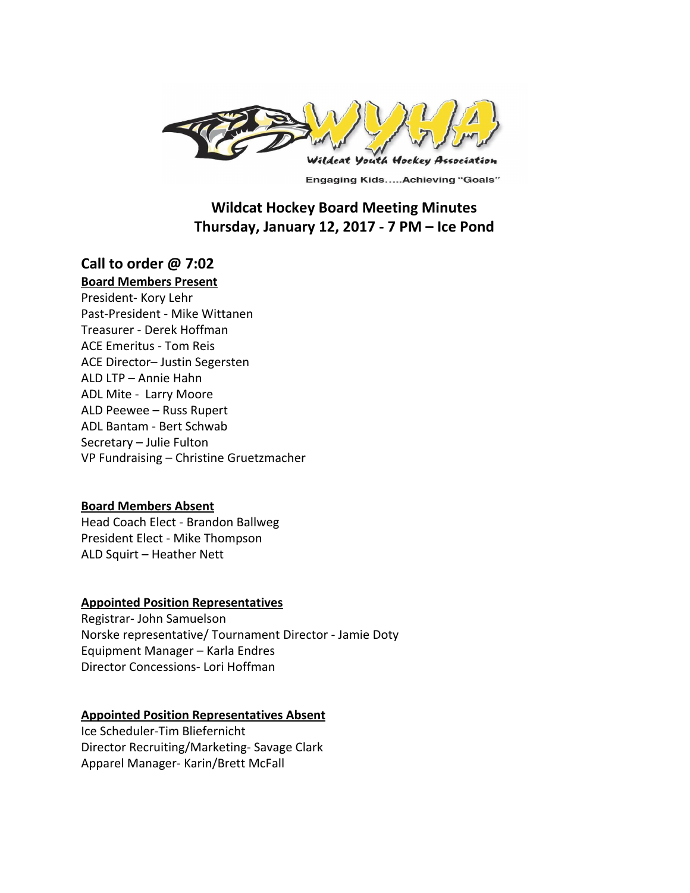

**Engaging Kids.....Achieving "Goals"** 

# **Wildcat Hockey Board Meeting Minutes Thursday, January 12, 2017 - 7 PM – Ice Pond**

# **Call to order @ 7:02**

# **Board Members Present**

President- Kory Lehr Past-President - Mike Wittanen Treasurer - Derek Hoffman ACE Emeritus - Tom Reis ACE Director– Justin Segersten ALD LTP – Annie Hahn ADL Mite - Larry Moore ALD Peewee – Russ Rupert ADL Bantam - Bert Schwab Secretary – Julie Fulton VP Fundraising – Christine Gruetzmacher

# **Board Members Absent**

Head Coach Elect - Brandon Ballweg President Elect - Mike Thompson ALD Squirt – Heather Nett

# **Appointed Position Representatives**

Registrar- John Samuelson Norske representative/ Tournament Director - Jamie Doty Equipment Manager – Karla Endres Director Concessions- Lori Hoffman

#### **Appointed Position Representatives Absent**

Ice Scheduler-Tim Bliefernicht Director Recruiting/Marketing- Savage Clark Apparel Manager- Karin/Brett McFall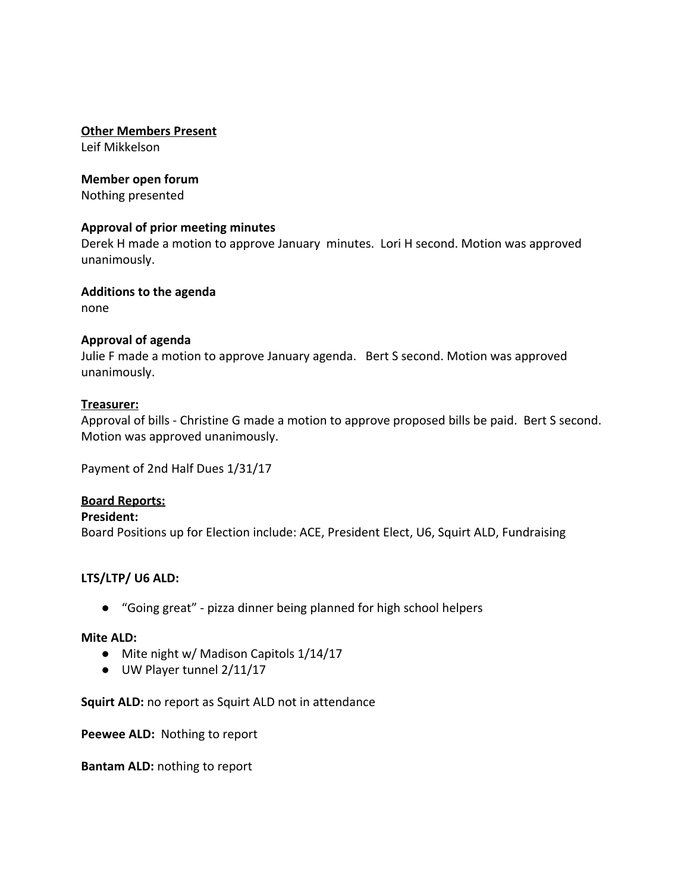### **Other Members Present**

Leif Mikkelson

### **Member open forum**

Nothing presented

### **Approval of prior meeting minutes**

Derek H made a motion to approve January minutes. Lori H second. Motion was approved unanimously.

# **Additions to the agenda**

none

# **Approval of agenda**

Julie F made a motion to approve January agenda. Bert S second. Motion was approved unanimously.

### **Treasurer:**

Approval of bills - Christine G made a motion to approve proposed bills be paid. Bert S second. Motion was approved unanimously.

Payment of 2nd Half Dues 1/31/17

# **Board Reports:**

# **President:**

Board Positions up for Election include: ACE, President Elect, U6, Squirt ALD, Fundraising

# **LTS/LTP/ U6 ALD:**

● "Going great" - pizza dinner being planned for high school helpers

#### **Mite ALD:**

- Mite night w/ Madison Capitols 1/14/17
- UW Player tunnel 2/11/17

**Squirt ALD:** no report as Squirt ALD not in attendance

**Peewee ALD:**  Nothing to report

**Bantam ALD:** nothing to report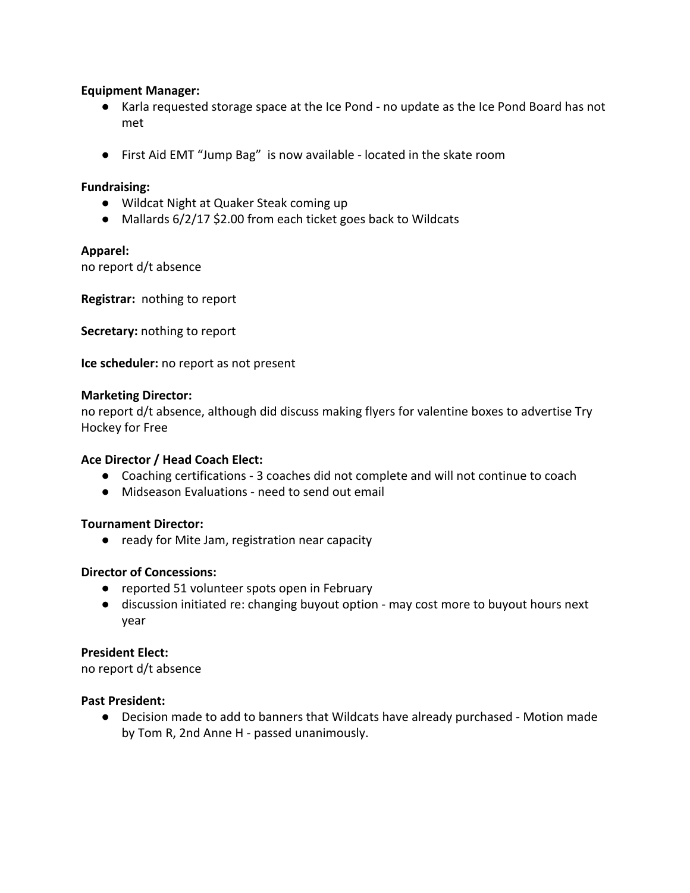# **Equipment Manager:**

- Karla requested storage space at the Ice Pond no update as the Ice Pond Board has not met
- First Aid EMT "Jump Bag" is now available located in the skate room

### **Fundraising:**

- Wildcat Night at Quaker Steak coming up
- Mallards 6/2/17 \$2.00 from each ticket goes back to Wildcats

### **Apparel:**

no report d/t absence

**Registrar:** nothing to report

**Secretary:** nothing to report

**Ice scheduler:** no report as not present

### **Marketing Director:**

no report d/t absence, although did discuss making flyers for valentine boxes to advertise Try Hockey for Free

# **Ace Director / Head Coach Elect:**

- Coaching certifications 3 coaches did not complete and will not continue to coach
- Midseason Evaluations need to send out email

#### **Tournament Director:**

● ready for Mite Jam, registration near capacity

# **Director of Concessions:**

- reported 51 volunteer spots open in February
- discussion initiated re: changing buyout option may cost more to buyout hours next year

#### **President Elect:**

no report d/t absence

### **Past President:**

● Decision made to add to banners that Wildcats have already purchased - Motion made by Tom R, 2nd Anne H - passed unanimously.